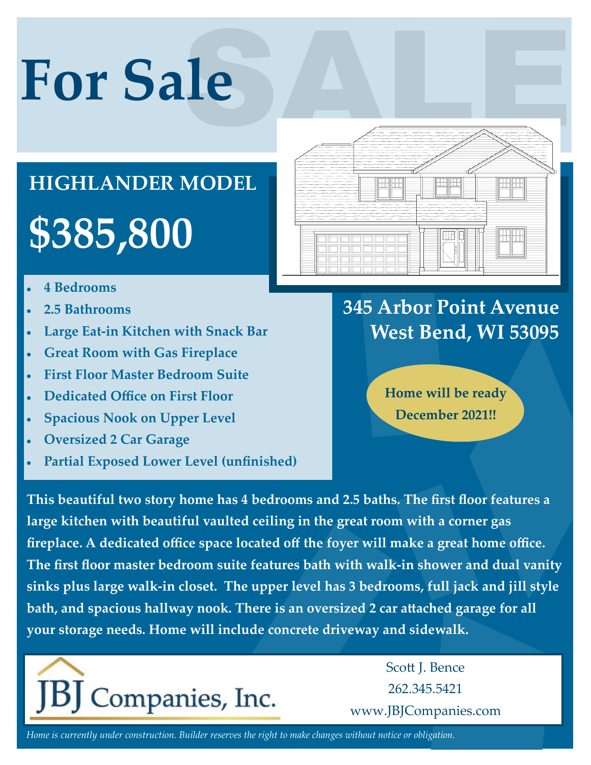# **For Sale**

## **\$385,800 HIGHLANDER MODEL**

- **4 Bedrooms**
- **2.5 Bathrooms**
- **Large Eat-in Kitchen with Snack Bar**
- **Great Room with Gas Fireplace**
- **First Floor Master Bedroom Suite**
- **Dedicated Office on First Floor**
- **Spacious Nook on Upper Level**
- **Oversized 2 Car Garage**
- **Partial Exposed Lower Level (unfinished)**



### **345 Arbor Point Avenue West Bend, WI 53095**

**Home will be ready December 2021!!**

**This beautiful two story home has 4 bedrooms and 2.5 baths. The first floor features a large kitchen with beautiful vaulted ceiling in the great room with a corner gas fireplace. A dedicated office space located off the foyer will make a great home office. The first floor master bedroom suite features bath with walk-in shower and dual vanity sinks plus large walk-in closet. The upper level has 3 bedrooms, full jack and jill style bath, and spacious hallway nook. There is an oversized 2 car attached garage for all your storage needs. Home will include concrete driveway and sidewalk.**



Scott J. Bence 262.345.5421 www.JBJCompanies.com

*Home is currently under construction. Builder reserves the right to make changes without notice or obligation.*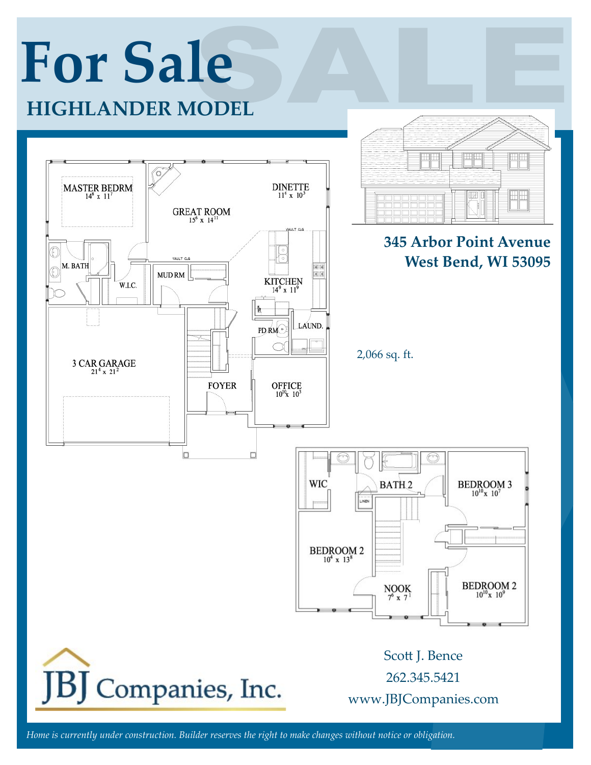

*Home is currently under construction. Builder reserves the right to make changes without notice or obligation.*